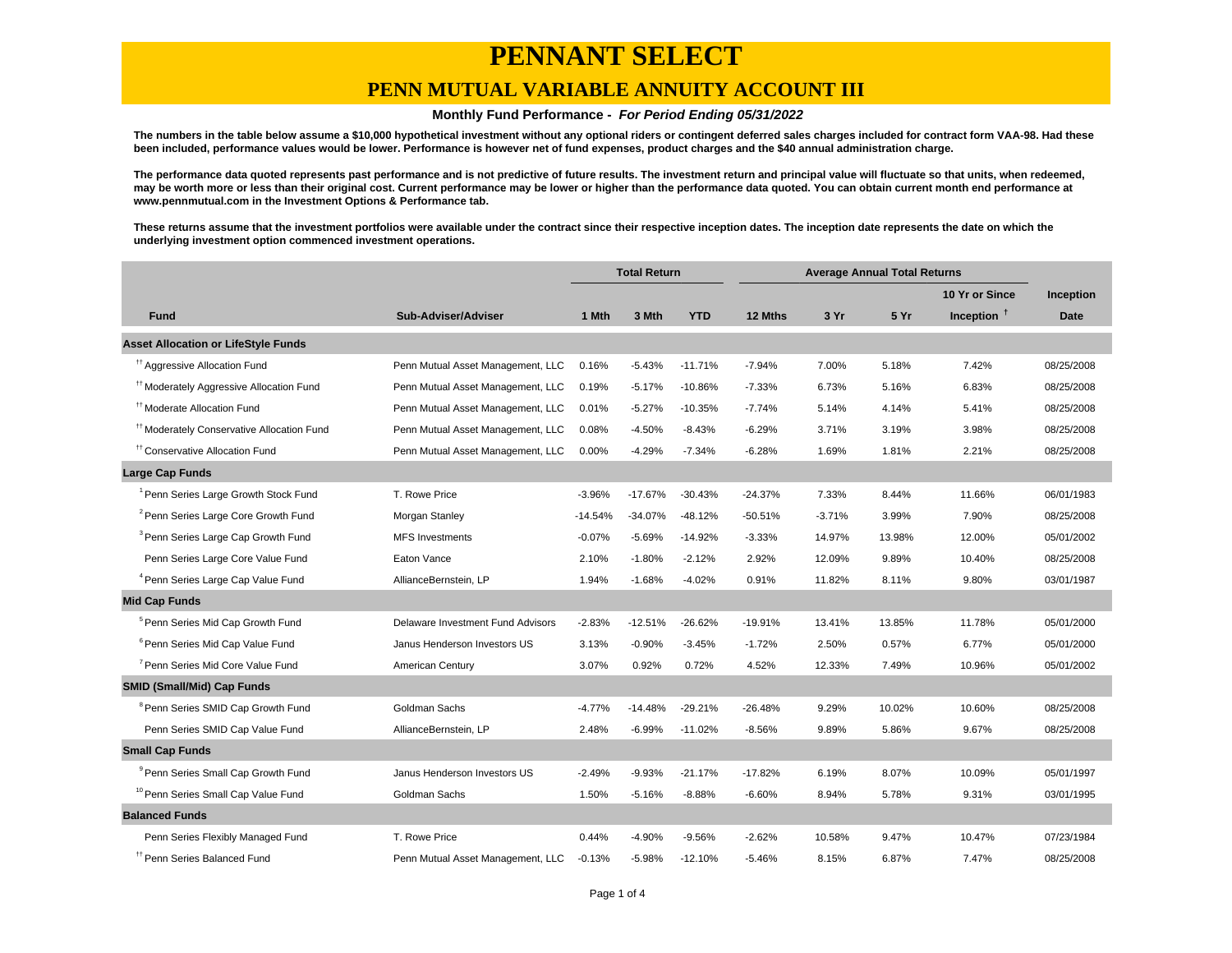### **PENN MUTUAL VARIABLE ANNUITY ACCOUNT III**

#### **Monthly Fund Performance - For Period Ending 05/31/2022**

**The numbers in the table below assume a \$10,000 hypothetical investment without any optional riders or contingent deferred sales charges included for contract form VAA-98. Had these been included, performance values would be lower. Performance is however net of fund expenses, product charges and the \$40 annual administration charge.**

**The performance data quoted represents past performance and is not predictive of future results. The investment return and principal value will fluctuate so that units, when redeemed, may be worth more or less than their original cost. Current performance may be lower or higher than the performance data quoted. You can obtain current month end performance at www.pennmutual.com in the Investment Options & Performance tab.**

**These returns assume that the investment portfolios were available under the contract since their respective inception dates. The inception date represents the date on which the underlying investment option commenced investment operations.**

|                                                       |                                   | <b>Total Return</b> |           | <b>Average Annual Total Returns</b> |           |          |        |                |             |
|-------------------------------------------------------|-----------------------------------|---------------------|-----------|-------------------------------------|-----------|----------|--------|----------------|-------------|
|                                                       |                                   |                     |           |                                     |           |          |        | 10 Yr or Since | Inception   |
| <b>Fund</b>                                           | Sub-Adviser/Adviser               | 1 Mth               | 3 Mth     | <b>YTD</b>                          | 12 Mths   | 3 Yr     | 5 Yr   | Inception $†$  | <b>Date</b> |
| <b>Asset Allocation or LifeStyle Funds</b>            |                                   |                     |           |                                     |           |          |        |                |             |
| <sup>tt</sup> Aggressive Allocation Fund              | Penn Mutual Asset Management, LLC | 0.16%               | $-5.43%$  | $-11.71%$                           | $-7.94%$  | 7.00%    | 5.18%  | 7.42%          | 08/25/2008  |
| <sup>#†</sup> Moderately Aggressive Allocation Fund   | Penn Mutual Asset Management, LLC | 0.19%               | $-5.17%$  | $-10.86%$                           | $-7.33%$  | 6.73%    | 5.16%  | 6.83%          | 08/25/2008  |
| <sup>#</sup> Moderate Allocation Fund                 | Penn Mutual Asset Management, LLC | 0.01%               | $-5.27%$  | $-10.35%$                           | $-7.74%$  | 5.14%    | 4.14%  | 5.41%          | 08/25/2008  |
| <sup>11</sup> Moderately Conservative Allocation Fund | Penn Mutual Asset Management, LLC | 0.08%               | $-4.50%$  | $-8.43%$                            | $-6.29%$  | 3.71%    | 3.19%  | 3.98%          | 08/25/2008  |
| <sup>††</sup> Conservative Allocation Fund            | Penn Mutual Asset Management, LLC | 0.00%               | $-4.29%$  | $-7.34%$                            | $-6.28%$  | 1.69%    | 1.81%  | 2.21%          | 08/25/2008  |
| <b>Large Cap Funds</b>                                |                                   |                     |           |                                     |           |          |        |                |             |
| <sup>1</sup> Penn Series Large Growth Stock Fund      | T. Rowe Price                     | $-3.96%$            | $-17.67%$ | $-30.43%$                           | $-24.37%$ | 7.33%    | 8.44%  | 11.66%         | 06/01/1983  |
| <sup>2</sup> Penn Series Large Core Growth Fund       | Morgan Stanley                    | $-14.54%$           | $-34.07%$ | $-48.12%$                           | $-50.51%$ | $-3.71%$ | 3.99%  | 7.90%          | 08/25/2008  |
| <sup>3</sup> Penn Series Large Cap Growth Fund        | <b>MFS Investments</b>            | $-0.07%$            | $-5.69%$  | $-14.92%$                           | $-3.33%$  | 14.97%   | 13.98% | 12.00%         | 05/01/2002  |
| Penn Series Large Core Value Fund                     | Eaton Vance                       | 2.10%               | $-1.80%$  | $-2.12%$                            | 2.92%     | 12.09%   | 9.89%  | 10.40%         | 08/25/2008  |
| <sup>4</sup> Penn Series Large Cap Value Fund         | AllianceBernstein, LP             | 1.94%               | $-1.68%$  | $-4.02%$                            | 0.91%     | 11.82%   | 8.11%  | 9.80%          | 03/01/1987  |
| <b>Mid Cap Funds</b>                                  |                                   |                     |           |                                     |           |          |        |                |             |
| <sup>5</sup> Penn Series Mid Cap Growth Fund          | Delaware Investment Fund Advisors | $-2.83%$            | $-12.51%$ | $-26.62%$                           | $-19.91%$ | 13.41%   | 13.85% | 11.78%         | 05/01/2000  |
| <sup>6</sup> Penn Series Mid Cap Value Fund           | Janus Henderson Investors US      | 3.13%               | $-0.90%$  | $-3.45%$                            | $-1.72%$  | 2.50%    | 0.57%  | 6.77%          | 05/01/2000  |
| <sup>7</sup> Penn Series Mid Core Value Fund          | American Century                  | 3.07%               | 0.92%     | 0.72%                               | 4.52%     | 12.33%   | 7.49%  | 10.96%         | 05/01/2002  |
| <b>SMID (Small/Mid) Cap Funds</b>                     |                                   |                     |           |                                     |           |          |        |                |             |
| <sup>8</sup> Penn Series SMID Cap Growth Fund         | Goldman Sachs                     | $-4.77%$            | $-14.48%$ | $-29.21%$                           | $-26.48%$ | 9.29%    | 10.02% | 10.60%         | 08/25/2008  |
| Penn Series SMID Cap Value Fund                       | AllianceBernstein, LP             | 2.48%               | $-6.99%$  | $-11.02%$                           | $-8.56%$  | 9.89%    | 5.86%  | 9.67%          | 08/25/2008  |
| <b>Small Cap Funds</b>                                |                                   |                     |           |                                     |           |          |        |                |             |
| <sup>9</sup> Penn Series Small Cap Growth Fund        | Janus Henderson Investors US      | $-2.49%$            | $-9.93%$  | $-21.17%$                           | $-17.82%$ | 6.19%    | 8.07%  | 10.09%         | 05/01/1997  |
| <sup>10</sup> Penn Series Small Cap Value Fund        | Goldman Sachs                     | 1.50%               | $-5.16%$  | $-8.88%$                            | $-6.60%$  | 8.94%    | 5.78%  | 9.31%          | 03/01/1995  |
| <b>Balanced Funds</b>                                 |                                   |                     |           |                                     |           |          |        |                |             |
| Penn Series Flexibly Managed Fund                     | T. Rowe Price                     | 0.44%               | $-4.90%$  | $-9.56%$                            | $-2.62%$  | 10.58%   | 9.47%  | 10.47%         | 07/23/1984  |
| <sup>TT</sup> Penn Series Balanced Fund               | Penn Mutual Asset Management, LLC | $-0.13%$            | $-5.98%$  | $-12.10%$                           | $-5.46%$  | 8.15%    | 6.87%  | 7.47%          | 08/25/2008  |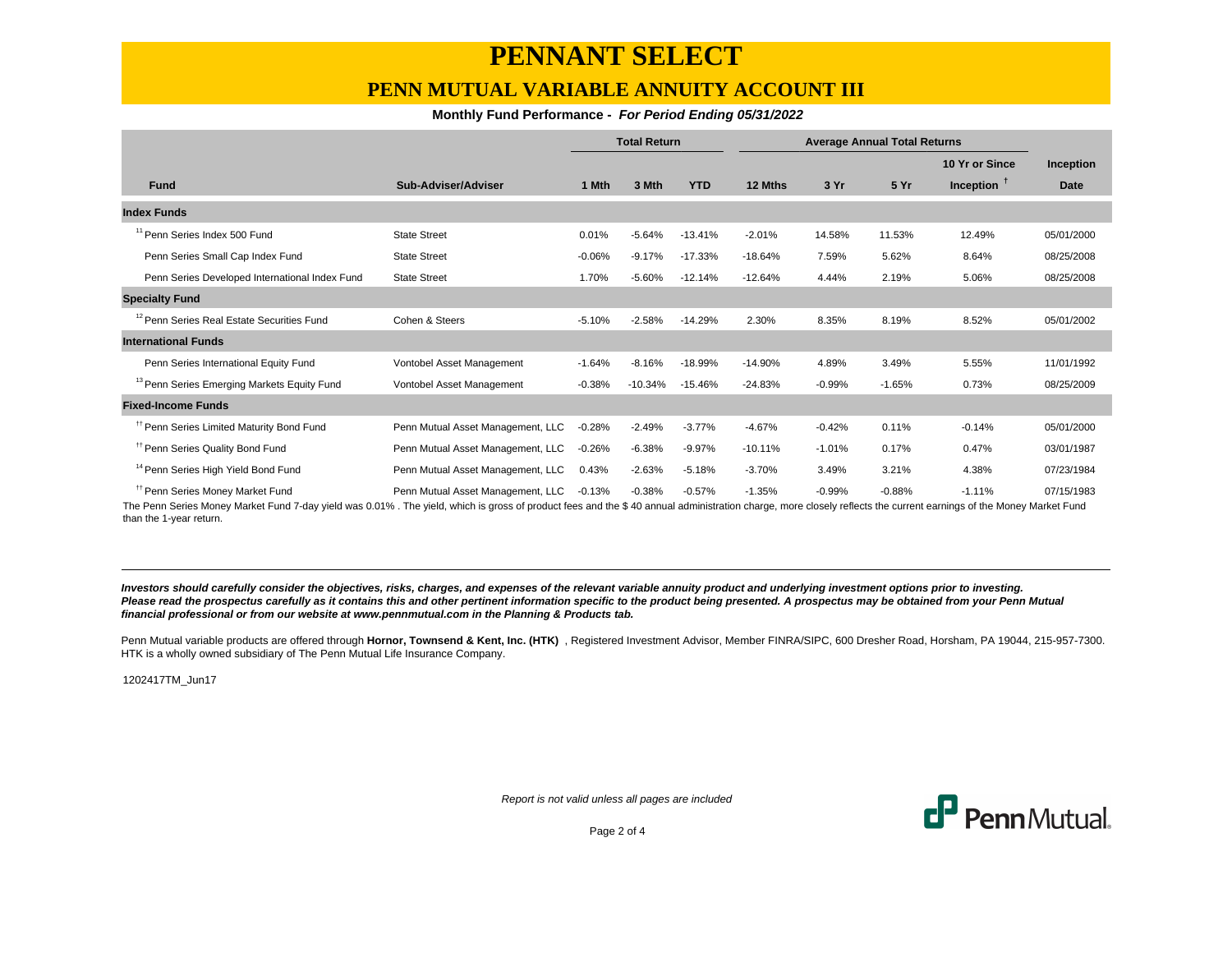### **PENN MUTUAL VARIABLE ANNUITY ACCOUNT III**

### **Monthly Fund Performance - For Period Ending 05/31/2022**

|                                                        |                                   | <b>Total Return</b> |           | <b>Average Annual Total Returns</b> |           |          |          |                |             |
|--------------------------------------------------------|-----------------------------------|---------------------|-----------|-------------------------------------|-----------|----------|----------|----------------|-------------|
|                                                        |                                   |                     |           |                                     |           |          |          | 10 Yr or Since | Inception   |
| <b>Fund</b>                                            | Sub-Adviser/Adviser               | 1 Mth               | 3 Mth     | <b>YTD</b>                          | 12 Mths   | 3 Yr     | 5 Yr     | Inception $T$  | <b>Date</b> |
| <b>Index Funds</b>                                     |                                   |                     |           |                                     |           |          |          |                |             |
| <sup>11</sup> Penn Series Index 500 Fund               | <b>State Street</b>               | 0.01%               | $-5.64%$  | $-13.41%$                           | $-2.01%$  | 14.58%   | 11.53%   | 12.49%         | 05/01/2000  |
| Penn Series Small Cap Index Fund                       | <b>State Street</b>               | $-0.06%$            | $-9.17%$  | $-17.33%$                           | $-18.64%$ | 7.59%    | 5.62%    | 8.64%          | 08/25/2008  |
| Penn Series Developed International Index Fund         | <b>State Street</b>               | 1.70%               | $-5.60%$  | $-12.14%$                           | $-12.64%$ | 4.44%    | 2.19%    | 5.06%          | 08/25/2008  |
| <b>Specialty Fund</b>                                  |                                   |                     |           |                                     |           |          |          |                |             |
| <sup>12</sup> Penn Series Real Estate Securities Fund  | Cohen & Steers                    | $-5.10%$            | $-2.58%$  | $-14.29%$                           | 2.30%     | 8.35%    | 8.19%    | 8.52%          | 05/01/2002  |
| <b>International Funds</b>                             |                                   |                     |           |                                     |           |          |          |                |             |
| Penn Series International Equity Fund                  | Vontobel Asset Management         | $-1.64%$            | $-8.16%$  | $-18.99%$                           | $-14.90%$ | 4.89%    | 3.49%    | 5.55%          | 11/01/1992  |
| <sup>13</sup> Penn Series Emerging Markets Equity Fund | Vontobel Asset Management         | $-0.38%$            | $-10.34%$ | $-15.46%$                           | $-24.83%$ | $-0.99%$ | $-1.65%$ | 0.73%          | 08/25/2009  |
| <b>Fixed-Income Funds</b>                              |                                   |                     |           |                                     |           |          |          |                |             |
| <sup>11</sup> Penn Series Limited Maturity Bond Fund   | Penn Mutual Asset Management, LLC | $-0.28%$            | $-2.49%$  | $-3.77%$                            | $-4.67%$  | $-0.42%$ | 0.11%    | $-0.14%$       | 05/01/2000  |
| <sup>11</sup> Penn Series Quality Bond Fund            | Penn Mutual Asset Management, LLC | $-0.26%$            | $-6.38%$  | $-9.97%$                            | $-10.11%$ | $-1.01%$ | 0.17%    | 0.47%          | 03/01/1987  |
| <sup>14</sup> Penn Series High Yield Bond Fund         | Penn Mutual Asset Management, LLC | 0.43%               | $-2.63%$  | $-5.18%$                            | $-3.70%$  | 3.49%    | 3.21%    | 4.38%          | 07/23/1984  |
| <sup>#</sup> Penn Series Money Market Fund             | Penn Mutual Asset Management, LLC | $-0.13%$            | $-0.38%$  | $-0.57%$                            | $-1.35%$  | $-0.99%$ | $-0.88%$ | $-1.11%$       | 07/15/1983  |

The Penn Series Money Market Fund 7-day yield was 0.01% . The yield, which is gross of product fees and the \$ 40 annual administration charge, more closely reflects the current earnings of the Money Market Fund than the 1-year return.

**Investors should carefully consider the objectives, risks, charges, and expenses of the relevant variable annuity product and underlying investment options prior to investing.** Please read the prospectus carefully as it contains this and other pertinent information specific to the product being presented. A prospectus may be obtained from your Penn Mutual **financial professional or from our website at www.pennmutual.com in the Planning & Products tab.**

Penn Mutual variable products are offered through Hornor, Townsend & Kent, Inc. (HTK), Registered Investment Advisor, Member FINRA/SIPC, 600 Dresher Road, Horsham, PA 19044, 215-957-7300. HTK is a wholly owned subsidiary of The Penn Mutual Life Insurance Company.

1202417TM\_Jun17

Report is not valid unless all pages are included



Page 2 of 4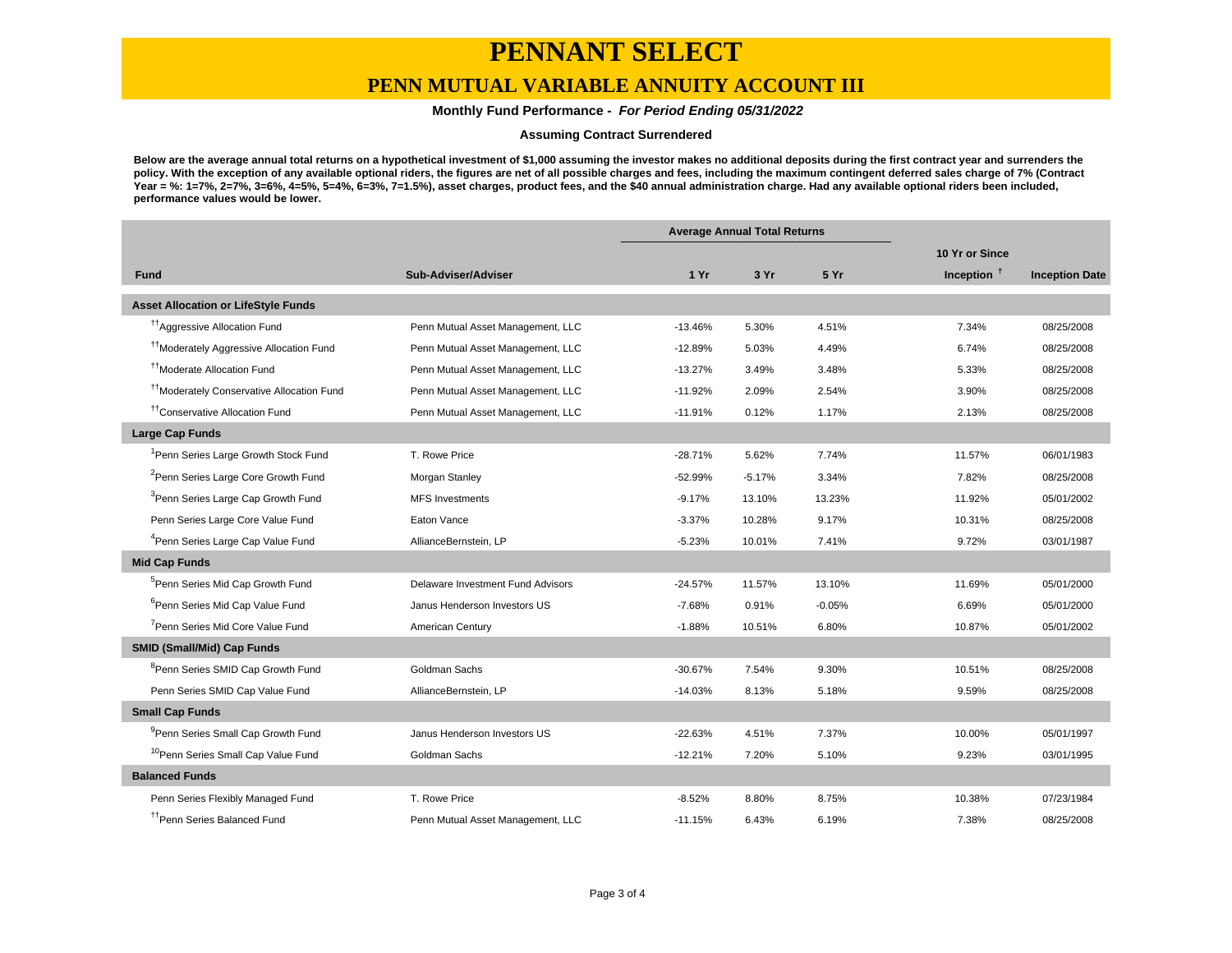### **PENN MUTUAL VARIABLE ANNUITY ACCOUNT III**

### **Monthly Fund Performance - For Period Ending 05/31/2022**

#### **Assuming Contract Surrendered**

**Below are the average annual total returns on a hypothetical investment of \$1,000 assuming the investor makes no additional deposits during the first contract year and surrenders the policy. With the exception of any available optional riders, the figures are net of all possible charges and fees, including the maximum contingent deferred sales charge of 7% (Contract Year = %: 1=7%, 2=7%, 3=6%, 4=5%, 5=4%, 6=3%, 7=1.5%), asset charges, product fees, and the \$40 annual administration charge. Had any available optional riders been included, performance values would be lower.**

|                                                       |                                   | <b>Average Annual Total Returns</b> |          |          |                |                       |
|-------------------------------------------------------|-----------------------------------|-------------------------------------|----------|----------|----------------|-----------------------|
|                                                       |                                   |                                     |          |          | 10 Yr or Since |                       |
| <b>Fund</b>                                           | Sub-Adviser/Adviser               | 1 Yr                                | 3 Yr     | 5 Yr     | Inception $†$  | <b>Inception Date</b> |
| <b>Asset Allocation or LifeStyle Funds</b>            |                                   |                                     |          |          |                |                       |
| <sup>17</sup> Aggressive Allocation Fund              | Penn Mutual Asset Management, LLC | $-13.46%$                           | 5.30%    | 4.51%    | 7.34%          | 08/25/2008            |
| <sup>11</sup> Moderately Aggressive Allocation Fund   | Penn Mutual Asset Management, LLC | $-12.89%$                           | 5.03%    | 4.49%    | 6.74%          | 08/25/2008            |
| <sup>11</sup> Moderate Allocation Fund                | Penn Mutual Asset Management, LLC | $-13.27%$                           | 3.49%    | 3.48%    | 5.33%          | 08/25/2008            |
| <sup>††</sup> Moderately Conservative Allocation Fund | Penn Mutual Asset Management, LLC | $-11.92%$                           | 2.09%    | 2.54%    | 3.90%          | 08/25/2008            |
| <sup>††</sup> Conservative Allocation Fund            | Penn Mutual Asset Management, LLC | $-11.91%$                           | 0.12%    | 1.17%    | 2.13%          | 08/25/2008            |
| <b>Large Cap Funds</b>                                |                                   |                                     |          |          |                |                       |
| <sup>1</sup> Penn Series Large Growth Stock Fund      | T. Rowe Price                     | $-28.71%$                           | 5.62%    | 7.74%    | 11.57%         | 06/01/1983            |
| <sup>2</sup> Penn Series Large Core Growth Fund       | Morgan Stanley                    | $-52.99%$                           | $-5.17%$ | 3.34%    | 7.82%          | 08/25/2008            |
| <sup>3</sup> Penn Series Large Cap Growth Fund        | <b>MFS Investments</b>            | $-9.17%$                            | 13.10%   | 13.23%   | 11.92%         | 05/01/2002            |
| Penn Series Large Core Value Fund                     | Eaton Vance                       | $-3.37%$                            | 10.28%   | 9.17%    | 10.31%         | 08/25/2008            |
| <sup>4</sup> Penn Series Large Cap Value Fund         | AllianceBernstein, LP             | $-5.23%$                            | 10.01%   | 7.41%    | 9.72%          | 03/01/1987            |
| <b>Mid Cap Funds</b>                                  |                                   |                                     |          |          |                |                       |
| <sup>5</sup> Penn Series Mid Cap Growth Fund          | Delaware Investment Fund Advisors | $-24.57%$                           | 11.57%   | 13.10%   | 11.69%         | 05/01/2000            |
| <sup>6</sup> Penn Series Mid Cap Value Fund           | Janus Henderson Investors US      | $-7.68%$                            | 0.91%    | $-0.05%$ | 6.69%          | 05/01/2000            |
| <sup>7</sup> Penn Series Mid Core Value Fund          | American Century                  | $-1.88%$                            | 10.51%   | 6.80%    | 10.87%         | 05/01/2002            |
| <b>SMID (Small/Mid) Cap Funds</b>                     |                                   |                                     |          |          |                |                       |
| <sup>8</sup> Penn Series SMID Cap Growth Fund         | Goldman Sachs                     | $-30.67%$                           | 7.54%    | 9.30%    | 10.51%         | 08/25/2008            |
| Penn Series SMID Cap Value Fund                       | AllianceBernstein, LP             | $-14.03%$                           | 8.13%    | 5.18%    | 9.59%          | 08/25/2008            |
| <b>Small Cap Funds</b>                                |                                   |                                     |          |          |                |                       |
| <sup>9</sup> Penn Series Small Cap Growth Fund        | Janus Henderson Investors US      | $-22.63%$                           | 4.51%    | 7.37%    | 10.00%         | 05/01/1997            |
| <sup>10</sup> Penn Series Small Cap Value Fund        | Goldman Sachs                     | $-12.21%$                           | 7.20%    | 5.10%    | 9.23%          | 03/01/1995            |
| <b>Balanced Funds</b>                                 |                                   |                                     |          |          |                |                       |
| Penn Series Flexibly Managed Fund                     | T. Rowe Price                     | $-8.52%$                            | 8.80%    | 8.75%    | 10.38%         | 07/23/1984            |
| <sup>tt</sup> Penn Series Balanced Fund               | Penn Mutual Asset Management, LLC | $-11.15%$                           | 6.43%    | 6.19%    | 7.38%          | 08/25/2008            |